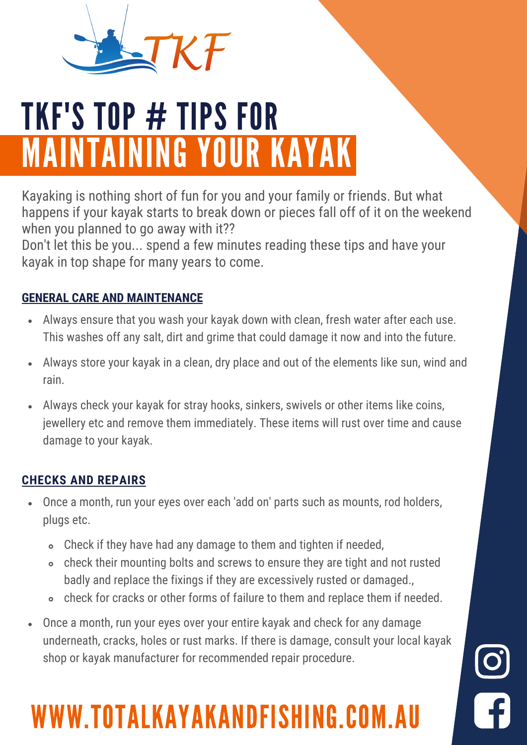

# TKF'S TOP # TIPS FOR MAINTAINING YOUR KAYAK

Kayaking is nothing short of fun for you and your family or friends. But what happens if your kayak starts to break down or pieces fall off of it on the weekend when you planned to go away with it??

Don't let this be you... spend a few minutes reading these tips and have your kayak in top shape for many years to come.

### **GENERAL CARE AND MAINTENANCE**

- Always ensure that you wash your kayak down with clean, fresh water after each use. This washes off any salt, dirt and grime that could damage it now and into the future.
- Always store your kayak in a clean, dry place and out of the elements like sun, wind and  $\bullet$ rain.
- Always check your kayak for stray hooks, sinkers, swivels or other items like coins, jewellery etc and remove them immediately. These items will rust over time and cause damage to your kayak.

### **CHECKS AND REPAIRS**

- Once a month, run your eyes over each 'add on' parts such as mounts, rod holders, plugs etc.
	- Check if they have had any damage to them and tighten if needed,
	- check their mounting bolts and screws to ensure they are tight and not rusted badly and replace the fixings if they are excessively rusted or damaged.,
	- check for cracks or other forms of failure to them and replace them if needed.
- Once a month, run your eyes over your entire kayak and check for any damage underneath, cracks, holes or rust marks. If there is damage, consult your local kayak shop or kayak manufacturer for recommended repair procedure.

### WWW.TOTALKAYAKANDFISHING.COM.AU